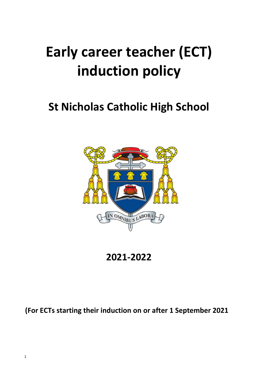# **Early career teacher (ECT) induction policy**

# **St Nicholas Catholic High School**



**2021-2022**

**(For ECTs starting their induction on or after 1 September 2021**

1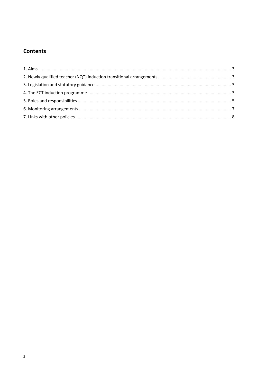# **Contents**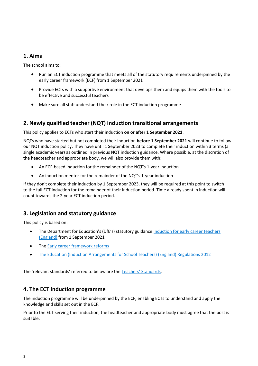#### <span id="page-2-0"></span>**1. Aims**

The school aims to:

- Run an ECT induction programme that meets all of the statutory requirements underpinned by the early career framework (ECF) from 1 September 2021
- Provide ECTs with a supportive environment that develops them and equips them with the tools to be effective and successful teachers
- Make sure all staff understand their role in the ECT induction programme

## <span id="page-2-1"></span>**2. Newly qualified teacher (NQT) induction transitional arrangements**

This policy applies to ECTs who start their induction **on or after 1 September 2021**.

NQTs who have started but not completed their induction **before 1 September 2021** will continue to follow our NQT induction policy. They have until 1 September 2023 to complete their induction within 3 terms (a single academic year) as outlined in previous NQT induction guidance. Where possible, at the discretion of the headteacher and appropriate body, we will also provide them with:

- An ECF-based induction for the remainder of the NQT's 1-year induction
- An induction mentor for the remainder of the NQT's 1-year induction

If they don't complete their induction by 1 September 2023, they will be required at this point to switch to the full ECT induction for the remainder of their induction period. Time already spent in induction will count towards the 2-year ECT induction period.

#### <span id="page-2-2"></span>**3. Legislation and statutory guidance**

This policy is based on:

- The Department for Education's (DfE's) statutory guidance [Induction for early career teachers](https://www.gov.uk/government/publications/induction-for-early-career-teachers-england)  [\(England\)](https://www.gov.uk/government/publications/induction-for-early-career-teachers-england) from 1 September 2021
- The [Early career framework reforms](https://www.gov.uk/government/collections/early-career-framework-reforms)
- [The Education \(Induction Arrangements for School Teachers\) \(England\) Regulations 2012](http://www.legislation.gov.uk/uksi/2012/1115/contents/made)

<span id="page-2-3"></span>The 'relevant standards' referred to below are the [Teachers' Standards](https://www.gov.uk/government/publications/teachers-standards).

#### **4. The ECT induction programme**

The induction programme will be underpinned by the ECF, enabling ECTs to understand and apply the knowledge and skills set out in the ECF.

Prior to the ECT serving their induction, the headteacher and appropriate body must agree that the post is suitable.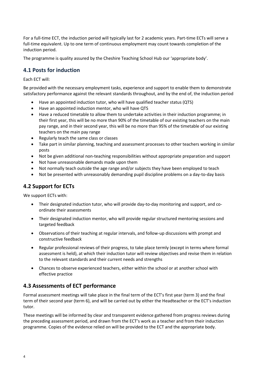For a full-time ECT, the induction period will typically last for 2 academic years. Part-time ECTs will serve a full-time equivalent. Up to one term of continuous employment may count towards completion of the induction period.

The programme is quality assured by the Cheshire Teaching School Hub our 'appropriate body'.

#### **4.1 Posts for induction**

#### Each ECT will:

Be provided with the necessary employment tasks, experience and support to enable them to demonstrate satisfactory performance against the relevant standards throughout, and by the end of, the induction period

- Have an appointed induction tutor, who will have qualified teacher status (QTS)
- Have an appointed induction mentor, who will have QTS
- Have a reduced timetable to allow them to undertake activities in their induction programme; in their first year, this will be no more than 90% of the timetable of our existing teachers on the main pay range, and in their second year, this will be no more than 95% of the timetable of our existing teachers on the main pay range
- Regularly teach the same class or classes
- Take part in similar planning, teaching and assessment processes to other teachers working in similar posts
- Not be given additional non-teaching responsibilities without appropriate preparation and support
- Not have unreasonable demands made upon them
- Not normally teach outside the age range and/or subjects they have been employed to teach
- Not be presented with unreasonably demanding pupil discipline problems on a day-to-day basis

#### **4.2 Support for ECTs**

We support ECTs with:

- Their designated induction tutor, who will provide day-to-day monitoring and support, and coordinate their assessments
- Their designated induction mentor, who will provide regular structured mentoring sessions and targeted feedback
- Observations of their teaching at regular intervals, and follow-up discussions with prompt and constructive feedback
- Regular professional reviews of their progress, to take place termly (except in terms where formal assessment is held), at which their induction tutor will review objectives and revise them in relation to the relevant standards and their current needs and strengths
- Chances to observe experienced teachers, either within the school or at another school with effective practice

#### **4.3 Assessments of ECT performance**

Formal assessment meetings will take place in the final term of the ECT's first year (term 3) and the final term of their second year (term 6), and will be carried out by either the Headteacher or the ECT's induction tutor.

These meetings will be informed by clear and transparent evidence gathered from progress reviews during the preceding assessment period, and drawn from the ECT's work as a teacher and from their induction programme. Copies of the evidence relied on will be provided to the ECT and the appropriate body.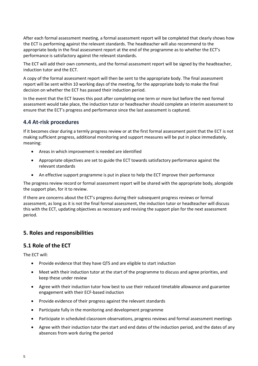After each formal assessment meeting, a formal assessment report will be completed that clearly shows how the ECT is performing against the relevant standards. The headteacher will also recommend to the appropriate body in the final assessment report at the end of the programme as to whether the ECT's performance is satisfactory against the relevant standards.

The ECT will add their own comments, and the formal assessment report will be signed by the headteacher, induction tutor and the ECT.

A copy of the formal assessment report will then be sent to the appropriate body. The final assessment report will be sent within 10 working days of the meeting, for the appropriate body to make the final decision on whether the ECT has passed their induction period.

In the event that the ECT leaves this post after completing one term or more but before the next formal assessment would take place, the induction tutor or headteacher should complete an interim assessment to ensure that the ECT's progress and performance since the last assessment is captured.

# **4.4 At-risk procedures**

If it becomes clear during a termly progress review or at the first formal assessment point that the ECT is not making sufficient progress, additional monitoring and support measures will be put in place immediately, meaning:

- Areas in which improvement is needed are identified
- Appropriate objectives are set to guide the ECT towards satisfactory performance against the relevant standards
- An effective support programme is put in place to help the ECT improve their performance

The progress review record or formal assessment report will be shared with the appropriate body, alongside the support plan, for it to review.

If there are concerns about the ECT's progress during their subsequent progress reviews or formal assessment, as long as it is not the final formal assessment, the induction tutor or headteacher will discuss this with the ECT, updating objectives as necessary and revising the support plan for the next assessment period.

# <span id="page-4-0"></span>**5. Roles and responsibilities**

#### **5.1 Role of the ECT**

The ECT will:

- Provide evidence that they have QTS and are eligible to start induction
- Meet with their induction tutor at the start of the programme to discuss and agree priorities, and keep these under review
- Agree with their induction tutor how best to use their reduced timetable allowance and guarantee engagement with their ECF-based induction
- Provide evidence of their progress against the relevant standards
- Participate fully in the monitoring and development programme
- Participate in scheduled classroom observations, progress reviews and formal assessment meetings
- Agree with their induction tutor the start and end dates of the induction period, and the dates of any absences from work during the period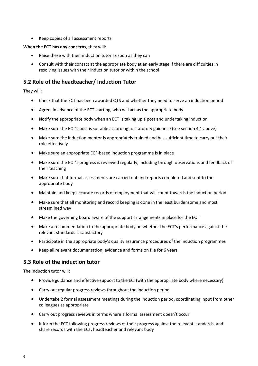Keep copies of all assessment reports

#### **When the ECT has any concerns**, they will:

- Raise these with their induction tutor as soon as they can
- Consult with their contact at the appropriate body at an early stage if there are difficulties in resolving issues with their induction tutor or within the school

## **5.2 Role of the headteacher/ Induction Tutor**

They will:

- Check that the ECT has been awarded QTS and whether they need to serve an induction period
- Agree, in advance of the ECT starting, who will act as the appropriate body
- Notify the appropriate body when an ECT is taking up a post and undertaking induction
- Make sure the ECT's post is suitable according to statutory guidance (see section 4.1 above)
- Make sure the induction mentor is appropriately trained and has sufficient time to carry out their role effectively
- Make sure an appropriate ECF-based induction programme is in place
- Make sure the ECT's progress is reviewed regularly, including through observations and feedback of their teaching
- Make sure that formal assessments are carried out and reports completed and sent to the appropriate body
- Maintain and keep accurate records of employment that will count towards the induction period
- Make sure that all monitoring and record keeping is done in the least burdensome and most streamlined way
- Make the governing board aware of the support arrangements in place for the ECT
- Make a recommendation to the appropriate body on whether the ECT's performance against the relevant standards is satisfactory
- Participate in the appropriate body's quality assurance procedures of the induction programmes
- Keep all relevant documentation, evidence and forms on file for 6 years

#### **5.3 Role of the induction tutor**

The induction tutor will:

- Provide guidance and effective support to the ECT(with the appropriate body where necessary)
- Carry out regular progress reviews throughout the induction period
- Undertake 2 formal assessment meetings during the induction period, coordinating input from other colleagues as appropriate
- Carry out progress reviews in terms where a formal assessment doesn't occur
- Inform the ECT following progress reviews of their progress against the relevant standards, and share records with the ECT, headteacher and relevant body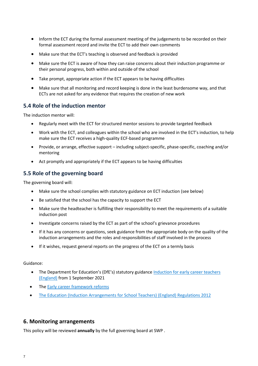- Inform the ECT during the formal assessment meeting of the judgements to be recorded on their formal assessment record and invite the ECT to add their own comments
- Make sure that the ECT's teaching is observed and feedback is provided
- Make sure the ECT is aware of how they can raise concerns about their induction programme or their personal progress, both within and outside of the school
- Take prompt, appropriate action if the ECT appears to be having difficulties
- Make sure that all monitoring and record keeping is done in the least burdensome way, and that ECTs are not asked for any evidence that requires the creation of new work

#### **5.4 Role of the induction mentor**

The induction mentor will:

- Regularly meet with the ECT for structured mentor sessions to provide targeted feedback
- Work with the ECT, and colleagues within the school who are involved in the ECT's induction, to help make sure the ECT receives a high-quality ECF-based programme
- Provide, or arrange, effective support including subject-specific, phase-specific, coaching and/or mentoring
- Act promptly and appropriately if the ECT appears to be having difficulties

#### **5.5 Role of the governing board**

The governing board will:

- Make sure the school complies with statutory guidance on ECT induction (see below)
- Be satisfied that the school has the capacity to support the ECT
- Make sure the headteacher is fulfilling their responsibility to meet the requirements of a suitable induction post
- Investigate concerns raised by the ECT as part of the school's grievance procedures
- If it has any concerns or questions, seek guidance from the appropriate body on the quality of the induction arrangements and the roles and responsibilities of staff involved in the process
- If it wishes, request general reports on the progress of the ECT on a termly basis

#### Guidance:

- The Department for Education's (DfE's) statutory guidance Induction for early career teachers [\(England\)](https://www.gov.uk/government/publications/induction-for-early-career-teachers-england) from 1 September 2021
- The [Early career framework reforms](https://www.gov.uk/government/collections/early-career-framework-reforms)
- [The Education \(Induction Arrangements for School Teachers\) \(England\) Regulations 2012](http://www.legislation.gov.uk/uksi/2012/1115/contents/made)

#### <span id="page-6-0"></span>**6. Monitoring arrangements**

This policy will be reviewed **annually** by the full governing board at SWP .